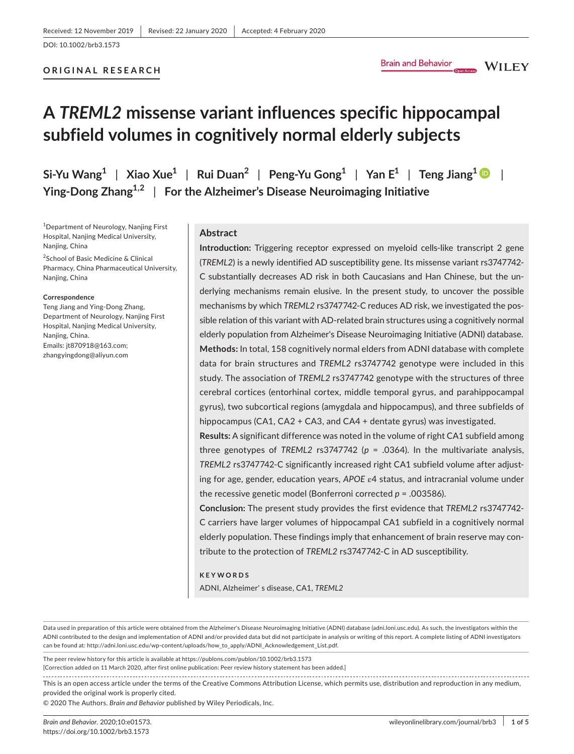# **ORIGINAL RESEARCH**

**WILEY** 

# **A** *TREML2* **missense variant influences specific hippocampal subfield volumes in cognitively normal elderly subjects**

 $\int$  Si-Yu Wang<sup>[1](https://orcid.org/0000-0002-4204-6563)</sup> | Xiao Xue<sup>1</sup> | Rui Duan<sup>2</sup> | Peng-Yu Gong<sup>1</sup> | Yan E<sup>1</sup> | Teng Jiang<sup>1</sup> | | **Ying-Dong Zhang1,2** | **For the Alzheimer's Disease Neuroimaging Initiative**

1 Department of Neurology, Nanjing First Hospital, Nanjing Medical University, Nanjing, China

<sup>2</sup>School of Basic Medicine & Clinical Pharmacy, China Pharmaceutical University, Nanjing, China

#### **Correspondence**

Teng Jiang and Ying-Dong Zhang, Department of Neurology, Nanjing First Hospital, Nanjing Medical University, Nanjing, China. Emails: [jt870918@163.com;](mailto:jt870918@163.com) [zhangyingdong@aliyun.com](mailto:zhangyingdong@aliyun.com)

# **Abstract**

**Introduction:** Triggering receptor expressed on myeloid cells-like transcript 2 gene (*TREML2*) is a newly identified AD susceptibility gene. Its missense variant rs3747742- C substantially decreases AD risk in both Caucasians and Han Chinese, but the underlying mechanisms remain elusive. In the present study, to uncover the possible mechanisms by which *TREML2* rs3747742-C reduces AD risk, we investigated the possible relation of this variant with AD-related brain structures using a cognitively normal elderly population from Alzheimer's Disease Neuroimaging Initiative (ADNI) database. **Methods:** In total, 158 cognitively normal elders from ADNI database with complete data for brain structures and *TREML2* rs3747742 genotype were included in this study. The association of *TREML2* rs3747742 genotype with the structures of three cerebral cortices (entorhinal cortex, middle temporal gyrus, and parahippocampal gyrus), two subcortical regions (amygdala and hippocampus), and three subfields of hippocampus (CA1, CA2 + CA3, and CA4 + dentate gyrus) was investigated.

**Results:** A significant difference was noted in the volume of right CA1 subfield among three genotypes of *TREML2* rs3747742 ( $p = .0364$ ). In the multivariate analysis, *TREML2* rs3747742-C significantly increased right CA1 subfield volume after adjusting for age, gender, education years, *APOE* ε4 status, and intracranial volume under the recessive genetic model (Bonferroni corrected *p* = .003586).

**Conclusion:** The present study provides the first evidence that *TREML2* rs3747742- C carriers have larger volumes of hippocampal CA1 subfield in a cognitively normal elderly population. These findings imply that enhancement of brain reserve may contribute to the protection of *TREML2* rs3747742-C in AD susceptibility.

#### **KEYWORDS**

ADNI, Alzheimer' s disease, CA1, *TREML2*

Data used in preparation of this article were obtained from the Alzheimer's Disease Neuroimaging Initiative (ADNI) database (adni.loni.usc.edu). As such, the investigators within the ADNI contributed to the design and implementation of ADNI and/or provided data but did not participate in analysis or writing of this report. A complete listing of ADNI investigators can be found at: [http://adni.loni.usc.edu/wp-content/uploads/how\\_to\\_apply/ADNI\\_Acknowledgement\\_List.pdf.](http://adni.loni.usc.edu/wp-content/uploads/how_to_apply/ADNI_Acknowledgement_List.pdf)

The peer review history for this article is available at <https://publons.com/publon/10.1002/brb3.1573>

[Correction added on 11 March 2020, after first online publication: Peer review history statement has been added.]

This is an open access article under the terms of the Creative Commons [Attribution](http://creativecommons.org/licenses/by/4.0/) License, which permits use, distribution and reproduction in any medium, provided the original work is properly cited.

© 2020 The Authors. *Brain and Behavior* published by Wiley Periodicals, Inc.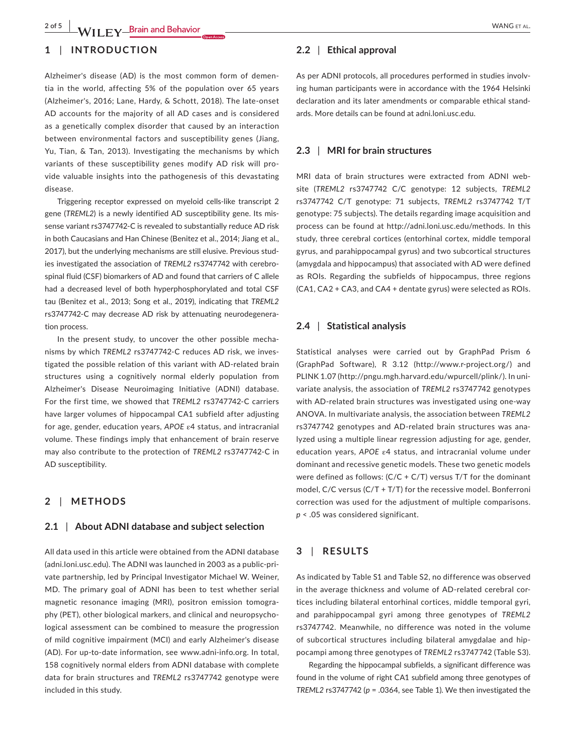# **1** | **INTRODUCTION**

Alzheimer's disease (AD) is the most common form of dementia in the world, affecting 5% of the population over 65 years (Alzheimer's, 2016; Lane, Hardy, & Schott, 2018). The late-onset AD accounts for the majority of all AD cases and is considered as a genetically complex disorder that caused by an interaction between environmental factors and susceptibility genes (Jiang, Yu, Tian, & Tan, 2013). Investigating the mechanisms by which variants of these susceptibility genes modify AD risk will provide valuable insights into the pathogenesis of this devastating disease.

Triggering receptor expressed on myeloid cells*-*like transcript 2 gene (*TREML2*) is a newly identified AD susceptibility gene. Its missense variant rs3747742-C is revealed to substantially reduce AD risk in both Caucasians and Han Chinese (Benitez et al., 2014; Jiang et al., 2017), but the underlying mechanisms are still elusive. Previous studies investigated the association of *TREML2* rs3747742 with cerebrospinal fluid (CSF) biomarkers of AD and found that carriers of C allele had a decreased level of both hyperphosphorylated and total CSF tau (Benitez et al., 2013; Song et al., 2019), indicating that *TREML2* rs3747742-C may decrease AD risk by attenuating neurodegeneration process.

In the present study, to uncover the other possible mechanisms by which *TREML2* rs3747742-C reduces AD risk, we investigated the possible relation of this variant with AD-related brain structures using a cognitively normal elderly population from Alzheimer's Disease Neuroimaging Initiative (ADNI) database. For the first time, we showed that *TREML2* rs3747742-C carriers have larger volumes of hippocampal CA1 subfield after adjusting for age, gender, education years, *APOE* ε4 status, and intracranial volume. These findings imply that enhancement of brain reserve may also contribute to the protection of *TREML2* rs3747742-C in AD susceptibility.

# **2** | **METHODS**

# **2.1** | **About ADNI database and subject selection**

All data used in this article were obtained from the ADNI database ([adni.loni.usc.edu](http://adni.loni.usc.edu)). The ADNI was launched in 2003 as a public-private partnership, led by Principal Investigator Michael W. Weiner, MD. The primary goal of ADNI has been to test whether serial magnetic resonance imaging (MRI), positron emission tomography (PET), other biological markers, and clinical and neuropsychological assessment can be combined to measure the progression of mild cognitive impairment (MCI) and early Alzheimer's disease (AD). For up-to-date information, see [www.adni-info.org](http://www.adni-info.org). In total, 158 cognitively normal elders from ADNI database with complete data for brain structures and *TREML2* rs3747742 genotype were included in this study.

# **2.2** | **Ethical approval**

As per ADNI protocols, all procedures performed in studies involving human participants were in accordance with the 1964 Helsinki declaration and its later amendments or comparable ethical standards. More details can be found at adni.loni.usc.edu.

# **2.3** | **MRI for brain structures**

MRI data of brain structures were extracted from ADNI website (*TREML2* rs3747742 C/C genotype: 12 subjects, *TREML2* rs3747742 C/T genotype: 71 subjects, *TREML2* rs3747742 T/T genotype: 75 subjects). The details regarding image acquisition and process can be found at <http://adni.loni.usc.edu/methods>. In this study, three cerebral cortices (entorhinal cortex, middle temporal gyrus, and parahippocampal gyrus) and two subcortical structures (amygdala and hippocampus) that associated with AD were defined as ROIs. Regarding the subfields of hippocampus, three regions (CA1, CA2 + CA3, and CA4 + dentate gyrus) were selected as ROIs.

## **2.4** | **Statistical analysis**

Statistical analyses were carried out by GraphPad Prism 6 (GraphPad Software), R 3.12 (<http://www.r-project.org/>) and PLINK 1.07 ([http://pngu.mgh.harvard.edu/wpurcell/plink/\)](http://pngu.mgh.harvard.edu/wpurcell/plink/). In univariate analysis, the association of *TREML2* rs3747742 genotypes with AD-related brain structures was investigated using one-way ANOVA. In multivariate analysis, the association between *TREML2* rs3747742 genotypes and AD-related brain structures was analyzed using a multiple linear regression adjusting for age, gender, education years, *APOE* ε4 status, and intracranial volume under dominant and recessive genetic models. These two genetic models were defined as follows:  $(C/C + C/T)$  versus T/T for the dominant model,  $C/C$  versus ( $C/T + T/T$ ) for the recessive model. Bonferroni correction was used for the adjustment of multiple comparisons. *p* < .05 was considered significant.

# **3** | **RESULTS**

As indicated by Table S1 and Table S2, no difference was observed in the average thickness and volume of AD-related cerebral cortices including bilateral entorhinal cortices, middle temporal gyri, and parahippocampal gyri among three genotypes of *TREML2* rs3747742. Meanwhile, no difference was noted in the volume of subcortical structures including bilateral amygdalae and hippocampi among three genotypes of *TREML2* rs3747742 (Table S3).

Regarding the hippocampal subfields, a significant difference was found in the volume of right CA1 subfield among three genotypes of *TREML2* rs3747742 (*p* = .0364, see Table 1). We then investigated the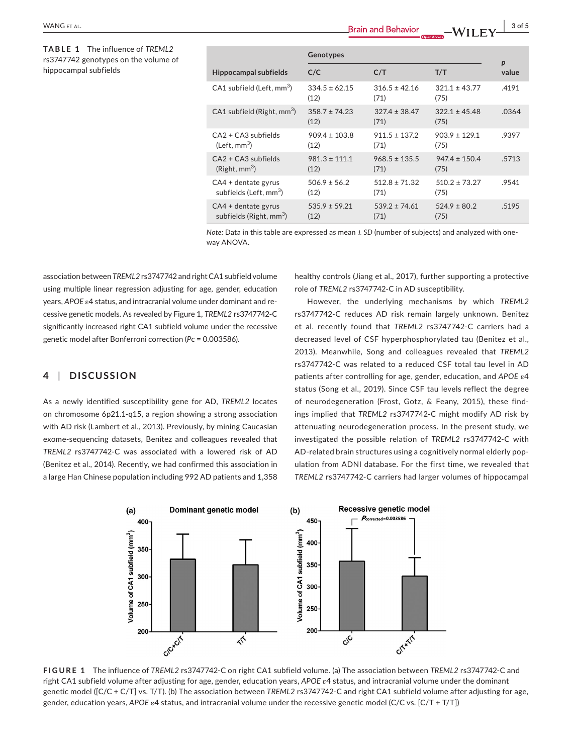**TABLE 1** The influence of *TREML2* rs3747742 genotypes on the volume of hippocampal subfields

|                                                              | Genotypes                 |                           |                           | $\boldsymbol{p}$ |
|--------------------------------------------------------------|---------------------------|---------------------------|---------------------------|------------------|
| <b>Hippocampal subfields</b>                                 | C/C                       | C/T                       | T/T                       | value            |
| CA1 subfield (Left, mm <sup>3</sup> )                        | $334.5 \pm 62.15$<br>(12) | $316.5 \pm 42.16$<br>(71) | $321.1 \pm 43.77$<br>(75) | .4191            |
| CA1 subfield (Right, mm <sup>3</sup> )                       | $358.7 \pm 74.23$<br>(12) | $327.4 \pm 38.47$<br>(71) | $322.1 \pm 45.48$<br>(75) | .0364            |
| $CA2 + CA3$ subfields<br>(Left, mm <sup>3</sup> )            | $909.4 \pm 103.8$<br>(12) | $911.5 \pm 137.2$<br>(71) | $903.9 \pm 129.1$<br>(75) | .9397            |
| $CA2 + CA3$ subfields<br>(Right, mm <sup>3</sup> )           | $981.3 \pm 111.1$<br>(12) | $968.5 \pm 135.5$<br>(71) | $947.4 \pm 150.4$<br>(75) | .5713            |
| $CA4 + dentate$ gyrus<br>subfields (Left, mm <sup>3</sup> )  | $506.9 \pm 56.2$<br>(12)  | $512.8 \pm 71.32$<br>(71) | $510.2 \pm 73.27$<br>(75) | .9541            |
| $CA4 + dentate$ gyrus<br>subfields (Right, mm <sup>3</sup> ) | $535.9 \pm 59.21$<br>(12) | $539.2 \pm 74.61$<br>(71) | $524.9 \pm 80.2$<br>(75)  | .5195            |

*Note:* Data in this table are expressed as mean ± *SD* (number of subjects) and analyzed with oneway ANOVA.

association between *TREML2* rs3747742 and rightCA1 subfield volume using multiple linear regression adjusting for age, gender, education years, *APOE* ε4 status, and intracranial volume under dominant and recessive genetic models. As revealed by Figure 1, *TREML2* rs3747742-C significantly increased right CA1 subfield volume under the recessive genetic model after Bonferroni correction (*P*c = 0.003586).

# **4** | **DISCUSSION**

As a newly identified susceptibility gene for AD, *TREML2* locates on chromosome 6p21.1-q15, a region showing a strong association with AD risk (Lambert et al., 2013). Previously, by mining Caucasian exome-sequencing datasets, Benitez and colleagues revealed that *TREML2* rs3747742-C was associated with a lowered risk of AD (Benitez et al., 2014). Recently, we had confirmed this association in a large Han Chinese population including 992 AD patients and 1,358 healthy controls (Jiang et al., 2017), further supporting a protective role of *TREML2* rs3747742-C in AD susceptibility.

However, the underlying mechanisms by which *TREML2* rs3747742-C reduces AD risk remain largely unknown. Benitez et al. recently found that *TREML2* rs3747742-C carriers had a decreased level of CSF hyperphosphorylated tau (Benitez et al., 2013). Meanwhile, Song and colleagues revealed that *TREML2* rs3747742-C was related to a reduced CSF total tau level in AD patients after controlling for age, gender, education, and *APOE* ε4 status (Song et al., 2019). Since CSF tau levels reflect the degree of neurodegeneration (Frost, Gotz, & Feany, 2015), these findings implied that *TREML2* rs3747742-C might modify AD risk by attenuating neurodegeneration process. In the present study, we investigated the possible relation of *TREML2* rs3747742-C with AD-related brain structures using a cognitively normal elderly population from ADNI database. For the first time, we revealed that *TREML2* rs3747742-C carriers had larger volumes of hippocampal



**FIGURE 1** The influence of *TREML2* rs3747742-C on right CA1 subfield volume. (a) The association between *TREML2* rs3747742-C and right CA1 subfield volume after adjusting for age, gender, education years, *APOE* ε4 status, and intracranial volume under the dominant genetic model ([C/C + C/T] vs. T/T). (b) The association between *TREML2* rs3747742-C and right CA1 subfield volume after adjusting for age, gender, education years, *APOE* ε4 status, and intracranial volume under the recessive genetic model (C/C vs. [C/T + T/T])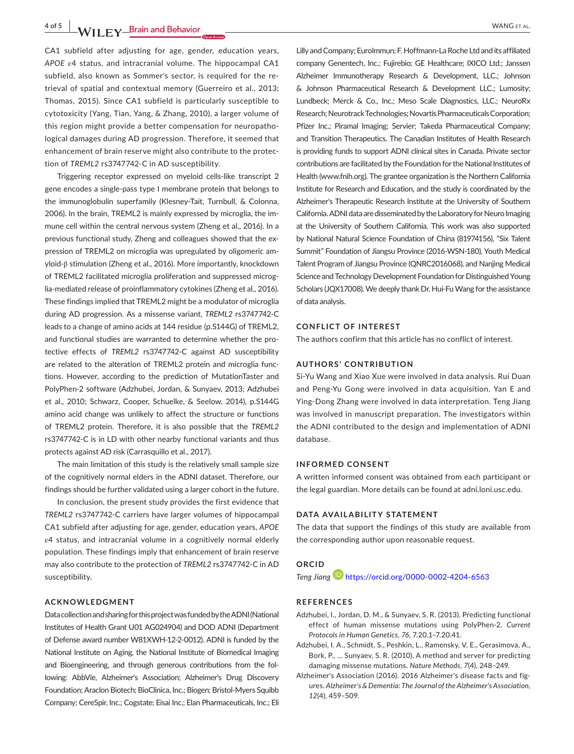**4 of 5 WII FY Brain and Behavior** *CONSERVING ET AL.* 

CA1 subfield after adjusting for age, gender, education years, *APOE* ε4 status, and intracranial volume. The hippocampal CA1 subfield, also known as Sommer's sector, is required for the retrieval of spatial and contextual memory (Guerreiro et al., 2013; Thomas, 2015). Since CA1 subfield is particularly susceptible to cytotoxicity (Yang, Tian, Yang, & Zhang, 2010), a larger volume of this region might provide a better compensation for neuropathological damages during AD progression. Therefore, it seemed that enhancement of brain reserve might also contribute to the protection of *TREML2* rs3747742-C in AD susceptibility.

Triggering receptor expressed on myeloid cells-like transcript 2 gene encodes a single-pass type I membrane protein that belongs to the immunoglobulin superfamily (Klesney-Tait, Turnbull, & Colonna, 2006). In the brain, TREML2 is mainly expressed by microglia, the immune cell within the central nervous system (Zheng et al., 2016). In a previous functional study, Zheng and colleagues showed that the expression of TREML2 on microglia was upregulated by oligomeric amyloid-β stimulation (Zheng et al., 2016). More importantly, knockdown of TREML2 facilitated microglia proliferation and suppressed microglia-mediated release of proinflammatory cytokines (Zheng et al., 2016). These findings implied that TREML2 might be a modulator of microglia during AD progression. As a missense variant, *TREML2* rs3747742-C leads to a change of amino acids at 144 residue (p.S144G) of TREML2, and functional studies are warranted to determine whether the protective effects of *TREML2* rs3747742-C against AD susceptibility are related to the alteration of TREML2 protein and microglia functions. However, according to the prediction of MutationTaster and PolyPhen-2 software (Adzhubei, Jordan, & Sunyaev, 2013; Adzhubei et al., 2010; Schwarz, Cooper, Schuelke, & Seelow, 2014), p.S144G amino acid change was unlikely to affect the structure or functions of TREML2 protein. Therefore, it is also possible that the *TREML2* rs3747742-C is in LD with other nearby functional variants and thus protects against AD risk (Carrasquillo et al., 2017).

The main limitation of this study is the relatively small sample size of the cognitively normal elders in the ADNI dataset. Therefore, our findings should be further validated using a larger cohort in the future.

In conclusion, the present study provides the first evidence that *TREML2* rs3747742-C carriers have larger volumes of hippocampal CA1 subfield after adjusting for age, gender, education years, *APOE* ε4 status, and intracranial volume in a cognitively normal elderly population. These findings imply that enhancement of brain reserve may also contribute to the protection of *TREML2* rs3747742-C in AD susceptibility.

## **ACKNOWLEDGMENT**

DatacollectionandsharingforthisprojectwasfundedbytheADNI(National Institutes of Health Grant U01 AG024904) and DOD ADNI (Department of Defense award number W81XWH-12-2-0012). ADNI is funded by the National Institute on Aging, the National Institute of Biomedical Imaging and Bioengineering, and through generous contributions from the following: AbbVie, Alzheimer's Association; Alzheimer's Drug Discovery Foundation; Araclon Biotech; BioClinica, Inc.; Biogen; Bristol-Myers Squibb Company; CereSpir, Inc.; Cogstate; Eisai Inc.; Elan Pharmaceuticals, Inc.; Eli

Lilly and Company: EuroImmun: F. Hoffmann-La Roche Ltd and its affiliated company Genentech, Inc.; Fujirebio; GE Healthcare; IXICO Ltd.; Janssen Alzheimer Immunotherapy Research & Development, LLC.; Johnson & Johnson Pharmaceutical Research & Development LLC.; Lumosity; Lundbeck; Merck & Co., Inc.; Meso Scale Diagnostics, LLC.; NeuroRx Research; Neurotrack Technologies; Novartis Pharmaceuticals Corporation; Pfizer Inc.; Piramal Imaging; Servier; Takeda Pharmaceutical Company; and Transition Therapeutics. The Canadian Institutes of Health Research is providing funds to support ADNI clinical sites in Canada. Private sector contributions are facilitated by the Foundation forthe National Institutes of Health [\(www.fnih.org](http://www.fnih.org)). The grantee organization is the Northern California Institute for Research and Education, and the study is coordinated by the Alzheimer's Therapeutic Research Institute at the University of Southern California. ADNI data are disseminated by the Laboratory for Neuro Imaging at the University of Southern California. This work was also supported by National Natural Science Foundation of China (81974156), "Six Talent Summit" Foundation of Jiangsu Province (2016-WSN-180), Youth Medical Talent Program of Jiangsu Province (QNRC2016068), and Nanjing Medical Science and Technology Development Foundation for Distinguished Young Scholars (JQX17008). We deeply thank Dr. Hui-Fu Wang for the assistance of data analysis.

#### **CONFLICT OF INTEREST**

The authors confirm that this article has no conflict of interest.

### **AUTHORS' CONTRIBUTION**

Si-Yu Wang and Xiao Xue were involved in data analysis. Rui Duan and Peng-Yu Gong were involved in data acquisition. Yan E and Ying-Dong Zhang were involved in data interpretation. Teng Jiang was involved in manuscript preparation. The investigators within the ADNI contributed to the design and implementation of ADNI database.

### **INFORMED CONSENT**

A written informed consent was obtained from each participant or the legal guardian. More details can be found at adni.loni.usc.edu.

# **DATA AVAILABILITY STATEMENT**

The data that support the findings of this study are available from the corresponding author upon reasonable request.

# **ORCID**

*Teng Jiang* <https://orcid.org/0000-0002-4204-6563>

## **REFERENCES**

- Adzhubei, I., Jordan, D. M., & Sunyaev, S. R. (2013). Predicting functional effect of human missense mutations using PolyPhen-2. *Current Protocols in Human Genetics*, *76*, 7.20.1–7.20.41.
- Adzhubei, I. A., Schmidt, S., Peshkin, L., Ramensky, V. E., Gerasimova, A., Bork, P., … Sunyaev, S. R. (2010). A method and server for predicting damaging missense mutations. *Nature Methods*, *7*(4), 248–249.
- Alzheimer's Association (2016). 2016 Alzheimer's disease facts and figures. *Alzheimer's & Dementia: The Journal of the Alzheimer's Association*, *12*(4), 459–509.